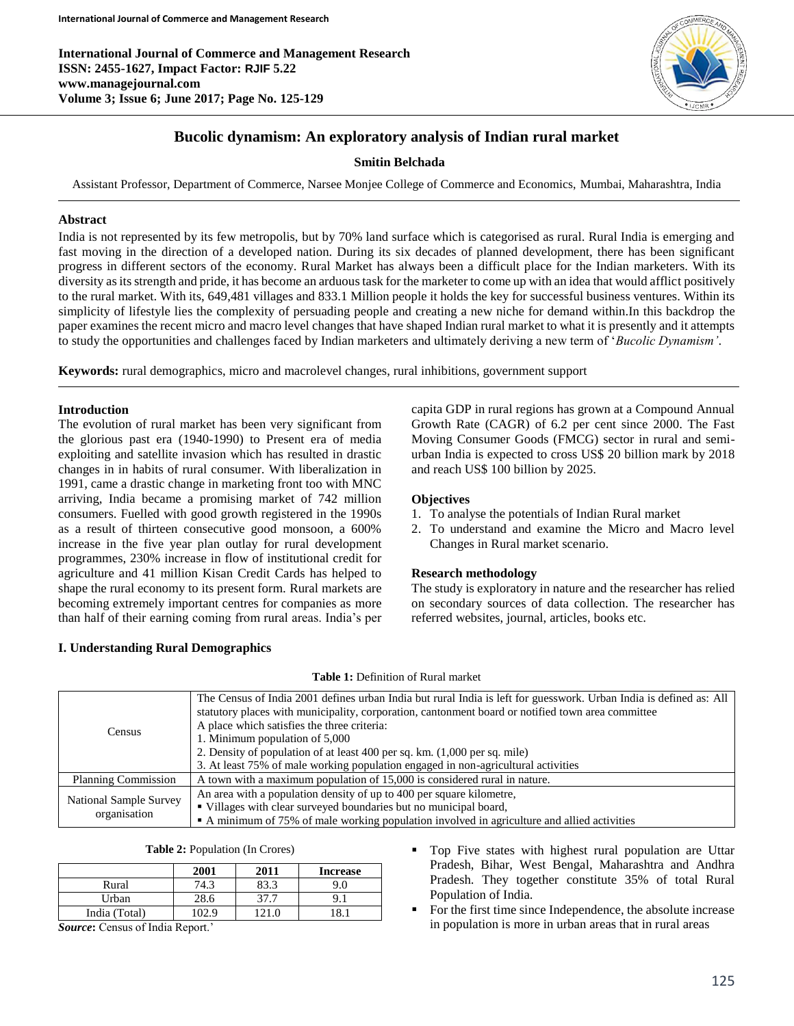**International Journal of Commerce and Management Research ISSN: 2455-1627, Impact Factor: RJIF 5.22 www.managejournal.com Volume 3; Issue 6; June 2017; Page No. 125-129**



# **Bucolic dynamism: An exploratory analysis of Indian rural market**

### **Smitin Belchada**

Assistant Professor, Department of Commerce, Narsee Monjee College of Commerce and Economics, Mumbai, Maharashtra, India

#### **Abstract**

India is not represented by its few metropolis, but by 70% land surface which is categorised as rural. Rural India is emerging and fast moving in the direction of a developed nation. During its six decades of planned development, there has been significant progress in different sectors of the economy. Rural Market has always been a difficult place for the Indian marketers. With its diversity as its strength and pride, it has become an arduous task for the marketer to come up with an idea that would afflict positively to the rural market. With its, 649,481 villages and 833.1 Million people it holds the key for successful business ventures. Within its simplicity of lifestyle lies the complexity of persuading people and creating a new niche for demand within.In this backdrop the paper examines the recent micro and macro level changes that have shaped Indian rural market to what it is presently and it attempts to study the opportunities and challenges faced by Indian marketers and ultimately deriving a new term of '*Bucolic Dynamism'*.

**Keywords:** rural demographics, micro and macrolevel changes, rural inhibitions, government support

### **Introduction**

The evolution of rural market has been very significant from the glorious past era (1940-1990) to Present era of media exploiting and satellite invasion which has resulted in drastic changes in in habits of rural consumer. With liberalization in 1991, came a drastic change in marketing front too with MNC arriving, India became a promising market of 742 million consumers. Fuelled with good growth registered in the 1990s as a result of thirteen consecutive good monsoon, a 600% increase in the five year plan outlay for rural development programmes, 230% increase in flow of institutional credit for agriculture and 41 million Kisan Credit Cards has helped to shape the rural economy to its present form. Rural markets are becoming extremely important centres for companies as more than half of their earning coming from rural areas. India's per

## **I. Understanding Rural Demographics**

capita GDP in rural regions has grown at a Compound Annual Growth Rate (CAGR) of 6.2 per cent since 2000. The Fast Moving Consumer Goods (FMCG) sector in rural and semiurban India is expected to cross US\$ 20 billion mark by 2018 and reach US\$ 100 billion by 2025.

### **Objectives**

- 1. To analyse the potentials of Indian Rural market
- 2. To understand and examine the Micro and Macro level Changes in Rural market scenario.

#### **Research methodology**

The study is exploratory in nature and the researcher has relied on secondary sources of data collection. The researcher has referred websites, journal, articles, books etc.

| <b>Census</b>                          | The Census of India 2001 defines urban India but rural India is left for guesswork. Urban India is defined as: All<br>statutory places with municipality, corporation, cantonment board or notified town area committee<br>A place which satisfies the three criteria:<br>1. Minimum population of 5,000<br>2. Density of population of at least 400 per sq. km. (1,000 per sq. mile)<br>3. At least 75% of male working population engaged in non-agricultural activities |
|----------------------------------------|----------------------------------------------------------------------------------------------------------------------------------------------------------------------------------------------------------------------------------------------------------------------------------------------------------------------------------------------------------------------------------------------------------------------------------------------------------------------------|
| <b>Planning Commission</b>             | A town with a maximum population of 15,000 is considered rural in nature.                                                                                                                                                                                                                                                                                                                                                                                                  |
| National Sample Survey<br>organisation | An area with a population density of up to 400 per square kilometre,<br>• Villages with clear surveyed boundaries but no municipal board,<br>• A minimum of 75% of male working population involved in agriculture and allied activities                                                                                                                                                                                                                                   |

**Table 1:** Definition of Rural market

|  | Table 2: Population (In Crores) |  |  |
|--|---------------------------------|--|--|
|--|---------------------------------|--|--|

| 2001 | 2011 | <b>Increase</b> |
|------|------|-----------------|
| 74.3 |      |                 |
| 28.6 | 27.  | 9.1             |
| 02.9 |      |                 |
|      |      |                 |

Top Five states with highest rural population are Uttar Pradesh, Bihar, West Bengal, Maharashtra and Andhra Pradesh. They together constitute 35% of total Rural Population of India.

 For the first time since Independence, the absolute increase in population is more in urban areas that in rural areas

*Source***:** Census of India Report.'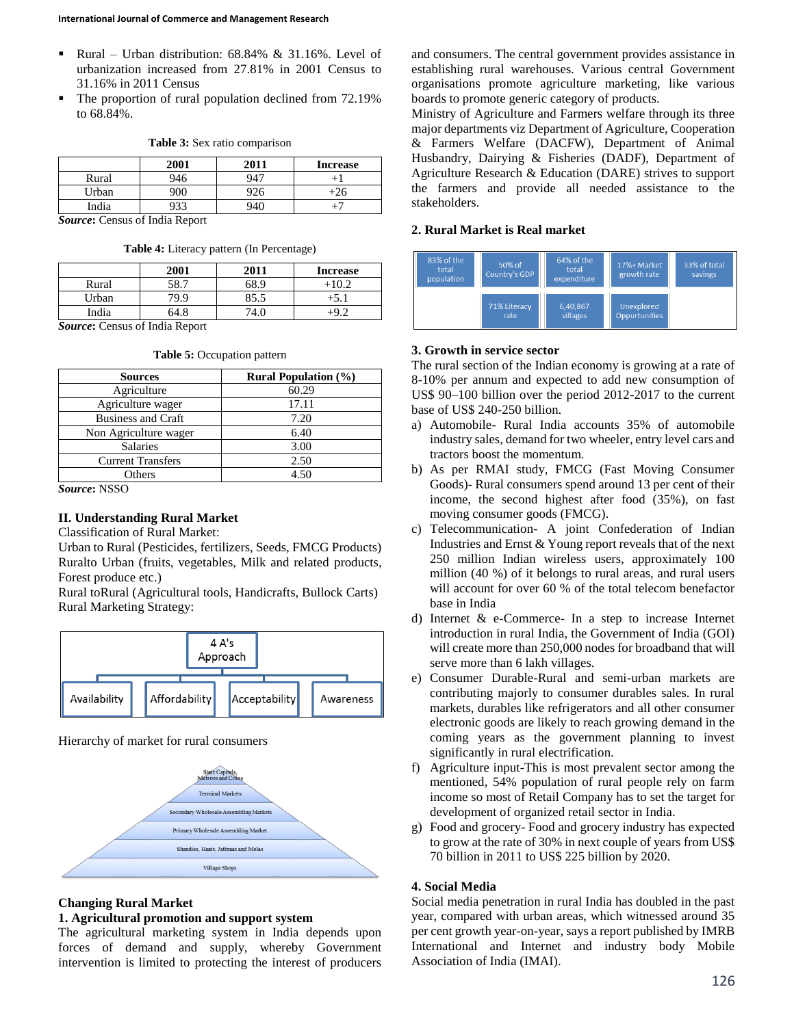- Rural Urban distribution: 68.84% & 31.16%. Level of urbanization increased from 27.81% in 2001 Census to 31.16% in 2011 Census
- The proportion of rural population declined from 72.19% to 68.84%.

|       | 2001 | 2011            | <b>Increase</b> |
|-------|------|-----------------|-----------------|
| Rural | 946  | 947             |                 |
| Urban | 900  | 20 <sub>0</sub> |                 |
| India |      | 941             |                 |

#### **Table 3:** Sex ratio comparison

*Source***:** Census of India Report

| Table 4: Literacy pattern (In Percentage) |  |
|-------------------------------------------|--|
|-------------------------------------------|--|

|       | 2001 | 2011 | <b>Increase</b> |
|-------|------|------|-----------------|
| Rural | 58.7 | 68.9 | 102             |
| Urban | 79.9 | 85.5 |                 |
| India | 64.8 |      |                 |
|       |      |      |                 |

*Source***:** Census of India Report

| <b>Sources</b>            | <b>Rural Population (%)</b> |
|---------------------------|-----------------------------|
| Agriculture               | 60.29                       |
| Agriculture wager         | 17.11                       |
| <b>Business and Craft</b> | 7.20                        |
| Non Agriculture wager     | 6.40                        |
| <b>Salaries</b>           | 3.00                        |
| <b>Current Transfers</b>  | 2.50                        |
| Others                    | 4.50                        |

**Table 5:** Occupation pattern

*Source***:** NSSO

## **II. Understanding Rural Market**

Classification of Rural Market:

Urban to Rural (Pesticides, fertilizers, Seeds, FMCG Products) Ruralto Urban (fruits, vegetables, Milk and related products, Forest produce etc.)

Rural toRural (Agricultural tools, Handicrafts, Bullock Carts) Rural Marketing Strategy:



Hierarchy of market for rural consumers



#### **Changing Rural Market**

#### **1. Agricultural promotion and support system**

The agricultural marketing system in India depends upon forces of demand and supply, whereby Government intervention is limited to protecting the interest of producers

and consumers. The central government provides assistance in establishing rural warehouses. Various central Government organisations promote agriculture marketing, like various boards to promote generic category of products.

Ministry of Agriculture and Farmers welfare through its three major departments viz Department of Agriculture, Cooperation & Farmers Welfare (DACFW), Department of Animal Husbandry, Dairying & Fisheries (DADF), Department of Agriculture Research & Education (DARE) strives to support the farmers and provide all needed assistance to the stakeholders.

### **2. Rural Market is Real market**



#### **3. Growth in service sector**

The rural section of the Indian economy is growing at a rate of 8-10% per annum and expected to add new consumption of US\$ 90–100 billion over the period 2012-2017 to the current base of US\$ 240-250 billion.

- a) Automobile- Rural India accounts 35% of automobile industry sales, demand for two wheeler, entry level cars and tractors boost the momentum.
- b) As per RMAI study, FMCG (Fast Moving Consumer Goods)- Rural consumers spend around 13 per cent of their income, the second highest after food (35%), on fast moving consumer goods (FMCG).
- c) Telecommunication- A joint Confederation of Indian Industries and Ernst & Young report reveals that of the next 250 million Indian wireless users, approximately 100 million (40 %) of it belongs to rural areas, and rural users will account for over 60 % of the total telecom benefactor base in India
- d) Internet & e-Commerce- In a step to increase Internet introduction in rural India, the Government of India (GOI) will create more than 250,000 nodes for broadband that will serve more than 6 lakh villages.
- e) Consumer Durable-Rural and semi-urban markets are contributing majorly to consumer durables sales. In rural markets, durables like refrigerators and all other consumer electronic goods are likely to reach growing demand in the coming years as the government planning to invest significantly in rural electrification.
- f) Agriculture input-This is most prevalent sector among the mentioned, 54% population of rural people rely on farm income so most of Retail Company has to set the target for development of organized retail sector in India.
- g) Food and grocery- Food and grocery industry has expected to grow at the rate of 30% in next couple of years from US\$ 70 billion in 2011 to US\$ 225 billion by 2020.

#### **4. Social Media**

Social media penetration in rural India has doubled in the past year, compared with urban areas, which witnessed around 35 per cent growth year-on-year, says a report published by IMRB International and Internet and industry body Mobile Association of India (IMAI).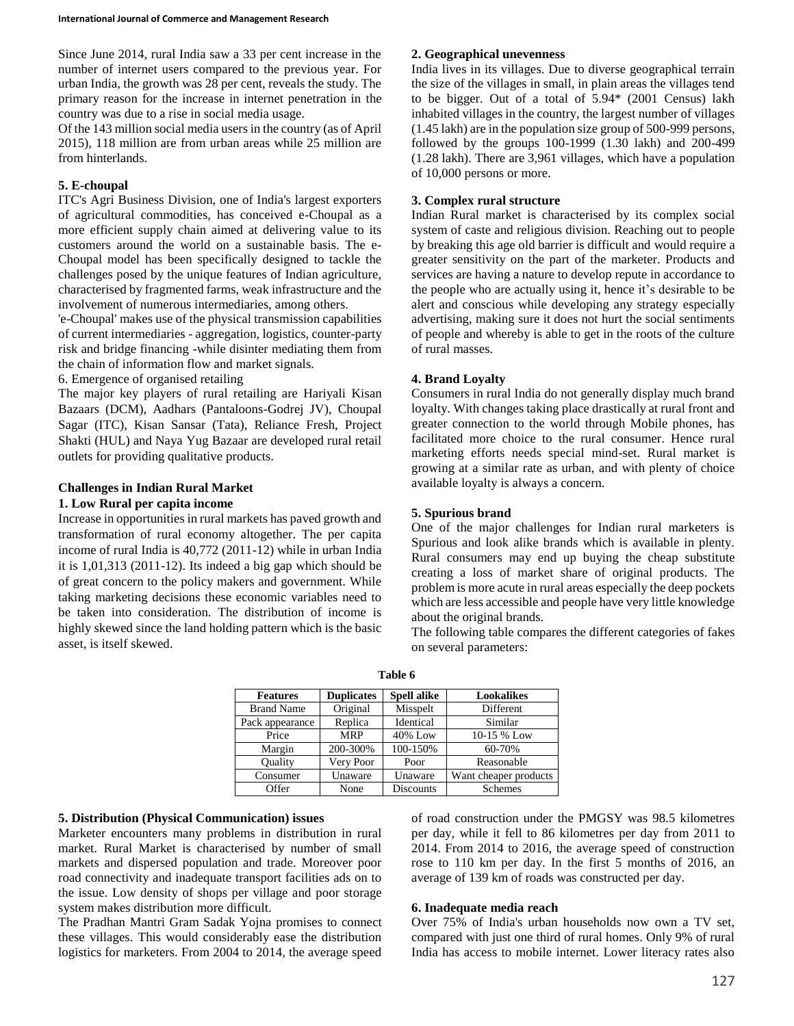Since June 2014, rural India saw a 33 per cent increase in the number of internet users compared to the previous year. For urban India, the growth was 28 per cent, reveals the study. The primary reason for the increase in internet penetration in the country was due to a rise in social media usage.

Of the 143 million social media users in the country (as of April 2015), 118 million are from urban areas while 25 million are from hinterlands.

## **5. E-choupal**

ITC's Agri Business Division, one of India's largest exporters of agricultural commodities, has conceived e-Choupal as a more efficient supply chain aimed at delivering value to its customers around the world on a sustainable basis. The e-Choupal model has been specifically designed to tackle the challenges posed by the unique features of Indian agriculture, characterised by fragmented farms, weak infrastructure and the involvement of numerous intermediaries, among others.

'e-Choupal' makes use of the physical transmission capabilities of current intermediaries - aggregation, logistics, counter-party risk and bridge financing -while disinter mediating them from the chain of information flow and market signals.

### 6. Emergence of organised retailing

The major key players of rural retailing are Hariyali Kisan Bazaars (DCM), Aadhars (Pantaloons-Godrej JV), Choupal Sagar (ITC), Kisan Sansar (Tata), Reliance Fresh, Project Shakti (HUL) and Naya Yug Bazaar are developed rural retail outlets for providing qualitative products.

## **Challenges in Indian Rural Market**

### **1. Low Rural per capita income**

Increase in opportunities in rural markets has paved growth and transformation of rural economy altogether. The per capita income of rural India is 40,772 (2011-12) while in urban India it is 1,01,313 (2011-12). Its indeed a big gap which should be of great concern to the policy makers and government. While taking marketing decisions these economic variables need to be taken into consideration. The distribution of income is highly skewed since the land holding pattern which is the basic asset, is itself skewed.

# **2. Geographical unevenness**

India lives in its villages. Due to diverse geographical terrain the size of the villages in small, in plain areas the villages tend to be bigger. Out of a total of 5.94\* (2001 Census) lakh inhabited villages in the country, the largest number of villages (1.45 lakh) are in the population size group of 500-999 persons, followed by the groups 100-1999 (1.30 lakh) and 200-499 (1.28 lakh). There are 3,961 villages, which have a population of 10,000 persons or more.

## **3. Complex rural structure**

Indian Rural market is characterised by its complex social system of caste and religious division. Reaching out to people by breaking this age old barrier is difficult and would require a greater sensitivity on the part of the marketer. Products and services are having a nature to develop repute in accordance to the people who are actually using it, hence it's desirable to be alert and conscious while developing any strategy especially advertising, making sure it does not hurt the social sentiments of people and whereby is able to get in the roots of the culture of rural masses.

## **4. Brand Loyalty**

Consumers in rural India do not generally display much brand loyalty. With changes taking place drastically at rural front and greater connection to the world through Mobile phones, has facilitated more choice to the rural consumer. Hence rural marketing efforts needs special mind-set. Rural market is growing at a similar rate as urban, and with plenty of choice available loyalty is always a concern.

## **5. Spurious brand**

One of the major challenges for Indian rural marketers is Spurious and look alike brands which is available in plenty. Rural consumers may end up buying the cheap substitute creating a loss of market share of original products. The problem is more acute in rural areas especially the deep pockets which are less accessible and people have very little knowledge about the original brands.

The following table compares the different categories of fakes on several parameters:

| <b>Features</b>   | <b>Duplicates</b> | <b>Spell alike</b> | Lookalikes            |
|-------------------|-------------------|--------------------|-----------------------|
| <b>Brand Name</b> | Original          | Misspelt           | Different             |
| Pack appearance   | Replica           | Identical          | Similar               |
| Price             | <b>MRP</b>        | 40% Low            | 10-15 % Low           |
| Margin            | 200-300%          | 100-150%           | 60-70%                |
| Quality           | Very Poor         | Poor               | Reasonable            |
| Consumer          | Unaware           | Unaware            | Want cheaper products |
| Offer             | None              | <b>Discounts</b>   | Schemes               |

**Table 6**

## **5. Distribution (Physical Communication) issues**

Marketer encounters many problems in distribution in rural market. Rural Market is characterised by number of small markets and dispersed population and trade. Moreover poor road connectivity and inadequate transport facilities ads on to the issue. Low density of shops per village and poor storage system makes distribution more difficult.

The Pradhan Mantri Gram Sadak Yojna promises to connect these villages. This would considerably ease the distribution logistics for marketers. From 2004 to 2014, the average speed of road construction under the PMGSY was 98.5 kilometres per day, while it fell to 86 kilometres per day from 2011 to 2014. From 2014 to 2016, the average speed of construction rose to 110 km per day. In the first 5 months of 2016, an average of 139 km of roads was constructed per day.

## **6. Inadequate media reach**

Over 75% of India's urban households now own a TV set, compared with just one third of rural homes. Only 9% of rural India has access to mobile internet. Lower literacy rates also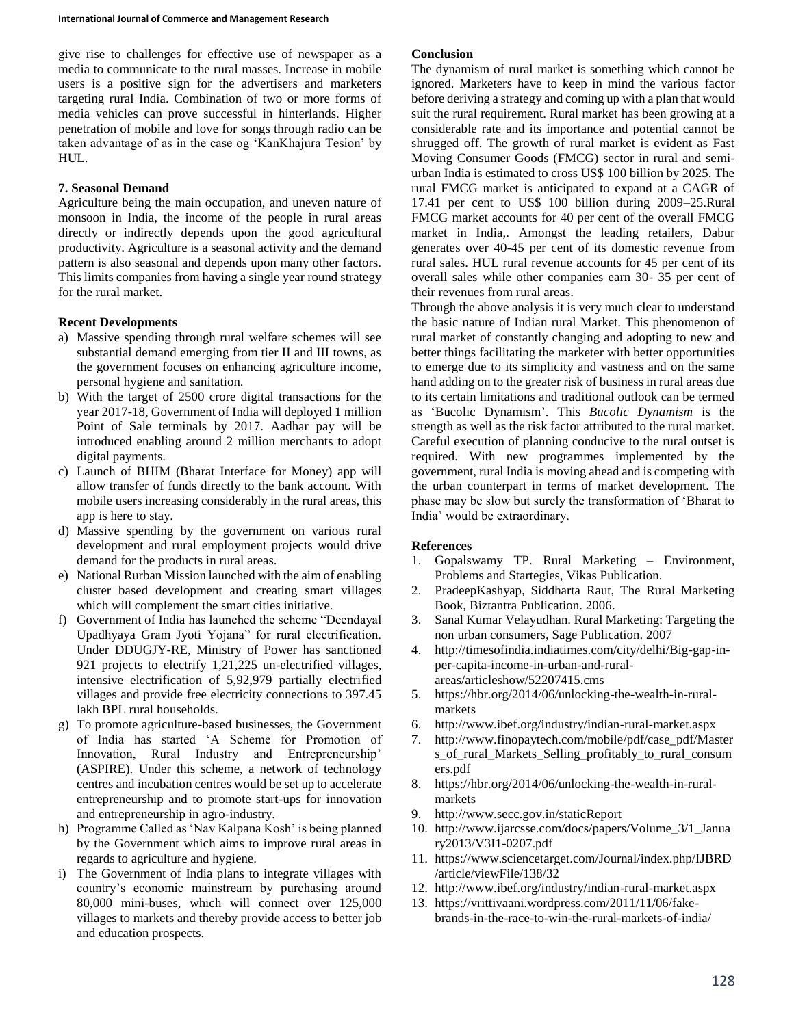give rise to challenges for effective use of newspaper as a media to communicate to the rural masses. Increase in mobile users is a positive sign for the advertisers and marketers targeting rural India. Combination of two or more forms of media vehicles can prove successful in hinterlands. Higher penetration of mobile and love for songs through radio can be taken advantage of as in the case og 'KanKhajura Tesion' by HUL.

## **7. Seasonal Demand**

Agriculture being the main occupation, and uneven nature of monsoon in India, the income of the people in rural areas directly or indirectly depends upon the good agricultural productivity. Agriculture is a seasonal activity and the demand pattern is also seasonal and depends upon many other factors. This limits companies from having a single year round strategy for the rural market.

## **Recent Developments**

- a) Massive spending through rural welfare schemes will see substantial demand emerging from tier II and III towns, as the government focuses on enhancing agriculture income, personal hygiene and sanitation.
- b) With the target of 2500 crore digital transactions for the year 2017-18, Government of India will deployed 1 million Point of Sale terminals by 2017. Aadhar pay will be introduced enabling around 2 million merchants to adopt digital payments.
- c) Launch of BHIM (Bharat Interface for Money) app will allow transfer of funds directly to the bank account. With mobile users increasing considerably in the rural areas, this app is here to stay.
- d) Massive spending by the government on various rural development and rural employment projects would drive demand for the products in rural areas.
- e) National Rurban Mission launched with the aim of enabling cluster based development and creating smart villages which will complement the smart cities initiative.
- f) Government of India has launched the scheme "Deendayal Upadhyaya Gram Jyoti Yojana" for rural electrification. Under DDUGJY-RE, Ministry of Power has sanctioned 921 projects to electrify 1,21,225 un-electrified villages, intensive electrification of 5,92,979 partially electrified villages and provide free electricity connections to 397.45 lakh BPL rural households.
- g) To promote agriculture-based businesses, the Government of India has started 'A Scheme for Promotion of Innovation, Rural Industry and Entrepreneurship' (ASPIRE). Under this scheme, a network of technology centres and incubation centres would be set up to accelerate entrepreneurship and to promote start-ups for innovation and entrepreneurship in agro-industry.
- h) Programme Called as 'Nav Kalpana Kosh' is being planned by the Government which aims to improve rural areas in regards to agriculture and hygiene.
- i) The Government of India plans to integrate villages with country's economic mainstream by purchasing around 80,000 mini-buses, which will connect over 125,000 villages to markets and thereby provide access to better job and education prospects.

### **Conclusion**

The dynamism of rural market is something which cannot be ignored. Marketers have to keep in mind the various factor before deriving a strategy and coming up with a plan that would suit the rural requirement. Rural market has been growing at a considerable rate and its importance and potential cannot be shrugged off. The growth of rural market is evident as Fast Moving Consumer Goods (FMCG) sector in rural and semiurban India is estimated to cross US\$ 100 billion by 2025. The rural FMCG market is anticipated to expand at a CAGR of 17.41 per cent to US\$ 100 billion during 2009–25.Rural FMCG market accounts for 40 per cent of the overall FMCG market in India,. Amongst the leading retailers, Dabur generates over 40-45 per cent of its domestic revenue from rural sales. HUL rural revenue accounts for 45 per cent of its overall sales while other companies earn 30- 35 per cent of their revenues from rural areas.

Through the above analysis it is very much clear to understand the basic nature of Indian rural Market. This phenomenon of rural market of constantly changing and adopting to new and better things facilitating the marketer with better opportunities to emerge due to its simplicity and vastness and on the same hand adding on to the greater risk of business in rural areas due to its certain limitations and traditional outlook can be termed as 'Bucolic Dynamism'. This *Bucolic Dynamism* is the strength as well as the risk factor attributed to the rural market. Careful execution of planning conducive to the rural outset is required. With new programmes implemented by the government, rural India is moving ahead and is competing with the urban counterpart in terms of market development. The phase may be slow but surely the transformation of 'Bharat to India' would be extraordinary.

## **References**

- 1. Gopalswamy TP. Rural Marketing Environment, Problems and Startegies, Vikas Publication.
- 2. PradeepKashyap, Siddharta Raut, The Rural Marketing Book, Biztantra Publication. 2006.
- 3. Sanal Kumar Velayudhan. Rural Marketing: Targeting the non urban consumers, Sage Publication. 2007
- 4. http://timesofindia.indiatimes.com/city/delhi/Big-gap-inper-capita-income-in-urban-and-ruralareas/articleshow/52207415.cms
- 5. https://hbr.org/2014/06/unlocking-the-wealth-in-ruralmarkets
- 6. http://www.ibef.org/industry/indian-rural-market.aspx
- 7. http://www.finopaytech.com/mobile/pdf/case\_pdf/Master s\_of\_rural\_Markets\_Selling\_profitably\_to\_rural\_consum ers.pdf
- 8. https://hbr.org/2014/06/unlocking-the-wealth-in-ruralmarkets
- 9. http://www.secc.gov.in/staticReport
- 10. http://www.ijarcsse.com/docs/papers/Volume\_3/1\_Janua ry2013/V3I1-0207.pdf
- 11. https://www.sciencetarget.com/Journal/index.php/IJBRD /article/viewFile/138/32
- 12. http://www.ibef.org/industry/indian-rural-market.aspx
- 13. https://vrittivaani.wordpress.com/2011/11/06/fakebrands-in-the-race-to-win-the-rural-markets-of-india/